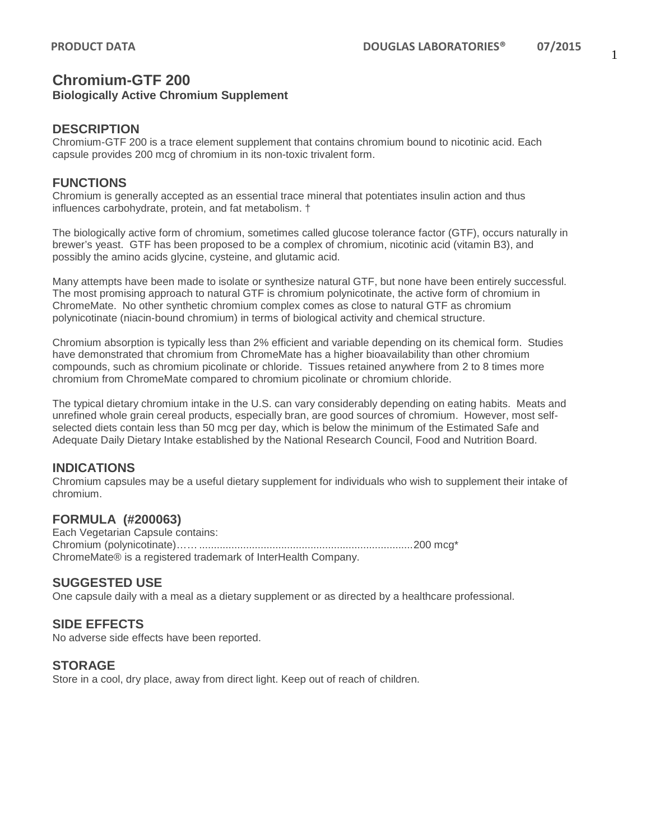# **Chromium-GTF 200 Biologically Active Chromium Supplement**

#### **DESCRIPTION**

Chromium-GTF 200 is a trace element supplement that contains chromium bound to nicotinic acid. Each capsule provides 200 mcg of chromium in its non-toxic trivalent form.

#### **FUNCTIONS**

Chromium is generally accepted as an essential trace mineral that potentiates insulin action and thus influences carbohydrate, protein, and fat metabolism. †

The biologically active form of chromium, sometimes called glucose tolerance factor (GTF), occurs naturally in brewer's yeast. GTF has been proposed to be a complex of chromium, nicotinic acid (vitamin B3), and possibly the amino acids glycine, cysteine, and glutamic acid.

Many attempts have been made to isolate or synthesize natural GTF, but none have been entirely successful. The most promising approach to natural GTF is chromium polynicotinate, the active form of chromium in ChromeMate. No other synthetic chromium complex comes as close to natural GTF as chromium polynicotinate (niacin-bound chromium) in terms of biological activity and chemical structure.

Chromium absorption is typically less than 2% efficient and variable depending on its chemical form. Studies have demonstrated that chromium from ChromeMate has a higher bioavailability than other chromium compounds, such as chromium picolinate or chloride. Tissues retained anywhere from 2 to 8 times more chromium from ChromeMate compared to chromium picolinate or chromium chloride.

The typical dietary chromium intake in the U.S. can vary considerably depending on eating habits. Meats and unrefined whole grain cereal products, especially bran, are good sources of chromium. However, most selfselected diets contain less than 50 mcg per day, which is below the minimum of the Estimated Safe and Adequate Daily Dietary Intake established by the National Research Council, Food and Nutrition Board.

## **INDICATIONS**

Chromium capsules may be a useful dietary supplement for individuals who wish to supplement their intake of chromium.

## **FORMULA (#200063)**

Each Vegetarian Capsule contains: Chromium (polynicotinate)…….........................................................................200 mcg\* ChromeMate® is a registered trademark of InterHealth Company.

## **SUGGESTED USE**

One capsule daily with a meal as a dietary supplement or as directed by a healthcare professional.

## **SIDE EFFECTS**

No adverse side effects have been reported.

#### **STORAGE**

Store in a cool, dry place, away from direct light. Keep out of reach of children.